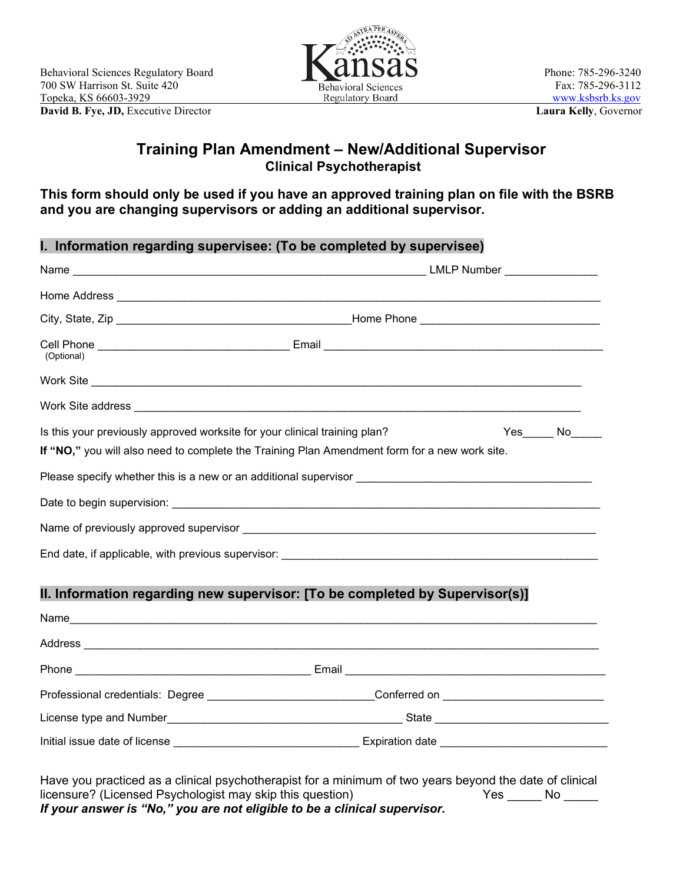

## **Training Plan Amendment – New/Additional Supervisor Clinical Psychotherapist**

**This form should only be used if you have an approved training plan on file with the BSRB and you are changing supervisors or adding an additional supervisor.**

|                                                                            | I. Information regarding supervisee: (To be completed by supervisee)                          |        |  |  |
|----------------------------------------------------------------------------|-----------------------------------------------------------------------------------------------|--------|--|--|
|                                                                            |                                                                                               |        |  |  |
|                                                                            |                                                                                               |        |  |  |
|                                                                            |                                                                                               |        |  |  |
| (Optional)                                                                 |                                                                                               |        |  |  |
|                                                                            |                                                                                               |        |  |  |
|                                                                            |                                                                                               |        |  |  |
| Is this your previously approved worksite for your clinical training plan? |                                                                                               | Yes No |  |  |
|                                                                            | If "NO," you will also need to complete the Training Plan Amendment form for a new work site. |        |  |  |
|                                                                            |                                                                                               |        |  |  |
|                                                                            |                                                                                               |        |  |  |
|                                                                            |                                                                                               |        |  |  |
|                                                                            |                                                                                               |        |  |  |
|                                                                            |                                                                                               |        |  |  |
|                                                                            | II. Information regarding new supervisor: [To be completed by Supervisor(s)]                  |        |  |  |
|                                                                            | Name                                                                                          |        |  |  |
|                                                                            |                                                                                               |        |  |  |

| <b>Phone</b>                     | Email                  |
|----------------------------------|------------------------|
| Professional credentials: Degree | Conferred on           |
| License type and Number          | State                  |
| Initial issue date of license    | <b>Expiration date</b> |

Have you practiced as a clinical psychotherapist for a minimum of two years beyond the date of clinical<br>licensure? (Licensed Psychologist may skip this question) Yes \_\_\_\_\_\_ No \_\_\_\_\_ licensure? (Licensed Psychologist may skip this question) *If your answer is "No," you are not eligible to be a clinical supervisor.*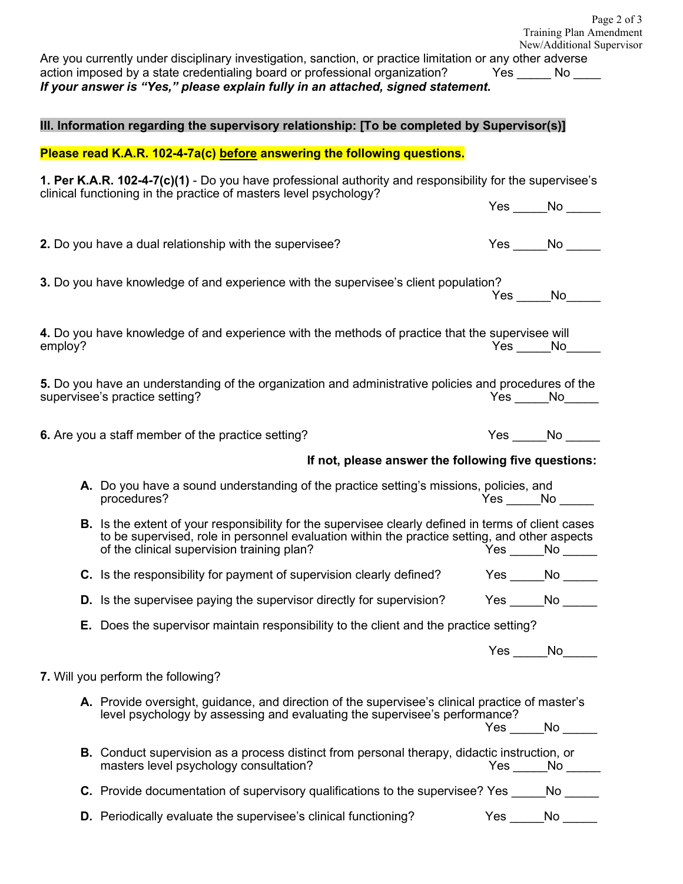|                                                                                             |  |                                                                                                                                                                                                                                                                             |  | Page 2 of 3<br>Training Plan Amendment<br>New/Additional Supervisor |  |  |  |  |  |
|---------------------------------------------------------------------------------------------|--|-----------------------------------------------------------------------------------------------------------------------------------------------------------------------------------------------------------------------------------------------------------------------------|--|---------------------------------------------------------------------|--|--|--|--|--|
|                                                                                             |  | Are you currently under disciplinary investigation, sanction, or practice limitation or any other adverse<br>action imposed by a state credentialing board or professional organization?<br>If your answer is "Yes," please explain fully in an attached, signed statement. |  | $Yes$ No $\_\_$                                                     |  |  |  |  |  |
| III. Information regarding the supervisory relationship: [To be completed by Supervisor(s)] |  |                                                                                                                                                                                                                                                                             |  |                                                                     |  |  |  |  |  |
| Please read K.A.R. 102-4-7a(c) before answering the following questions.                    |  |                                                                                                                                                                                                                                                                             |  |                                                                     |  |  |  |  |  |
|                                                                                             |  | 1. Per K.A.R. 102-4-7(c)(1) - Do you have professional authority and responsibility for the supervisee's<br>clinical functioning in the practice of masters level psychology?                                                                                               |  |                                                                     |  |  |  |  |  |
|                                                                                             |  |                                                                                                                                                                                                                                                                             |  | $Yes \_\_No \_\_$                                                   |  |  |  |  |  |
|                                                                                             |  | 2. Do you have a dual relationship with the supervisee?                                                                                                                                                                                                                     |  | $Yes$ No $\_\_\_\_\$                                                |  |  |  |  |  |
|                                                                                             |  | 3. Do you have knowledge of and experience with the supervisee's client population?                                                                                                                                                                                         |  | $Yes \_\_No \_\_$                                                   |  |  |  |  |  |
| employ?                                                                                     |  | 4. Do you have knowledge of and experience with the methods of practice that the supervisee will                                                                                                                                                                            |  | $Yes$ No $N$                                                        |  |  |  |  |  |
|                                                                                             |  | 5. Do you have an understanding of the organization and administrative policies and procedures of the<br>supervisee's practice setting?                                                                                                                                     |  | Yes No                                                              |  |  |  |  |  |
|                                                                                             |  | 6. Are you a staff member of the practice setting?                                                                                                                                                                                                                          |  | Yes No                                                              |  |  |  |  |  |
|                                                                                             |  | If not, please answer the following five questions:                                                                                                                                                                                                                         |  |                                                                     |  |  |  |  |  |
|                                                                                             |  | A. Do you have a sound understanding of the practice setting's missions, policies, and<br>procedures?                                                                                                                                                                       |  | Yes No                                                              |  |  |  |  |  |
|                                                                                             |  | <b>B.</b> Is the extent of your responsibility for the supervisee clearly defined in terms of client cases<br>to be supervised, role in personnel evaluation within the practice setting, and other aspects<br>of the clinical supervision training plan?                   |  | $Yes \_\_No \_\_$                                                   |  |  |  |  |  |
|                                                                                             |  | <b>C.</b> Is the responsibility for payment of supervision clearly defined?                                                                                                                                                                                                 |  | $Yes \_\_No \_\_$                                                   |  |  |  |  |  |
|                                                                                             |  | <b>D.</b> Is the supervisee paying the supervisor directly for supervision?                                                                                                                                                                                                 |  | Yes No                                                              |  |  |  |  |  |
|                                                                                             |  | <b>E.</b> Does the supervisor maintain responsibility to the client and the practice setting?                                                                                                                                                                               |  |                                                                     |  |  |  |  |  |
|                                                                                             |  |                                                                                                                                                                                                                                                                             |  | $Yes \_\_No \_\_$                                                   |  |  |  |  |  |
|                                                                                             |  | 7. Will you perform the following?                                                                                                                                                                                                                                          |  |                                                                     |  |  |  |  |  |
|                                                                                             |  | A. Provide oversight, guidance, and direction of the supervisee's clinical practice of master's<br>level psychology by assessing and evaluating the supervisee's performance?                                                                                               |  | $Yes \_\_No \_\_$                                                   |  |  |  |  |  |
|                                                                                             |  | B. Conduct supervision as a process distinct from personal therapy, didactic instruction, or<br>masters level psychology consultation?                                                                                                                                      |  | $Yes$ No $\_\_$                                                     |  |  |  |  |  |
|                                                                                             |  | C. Provide documentation of supervisory qualifications to the supervisee? Yes _____No _____                                                                                                                                                                                 |  |                                                                     |  |  |  |  |  |
|                                                                                             |  | <b>D.</b> Periodically evaluate the supervisee's clinical functioning?                                                                                                                                                                                                      |  | Yes No                                                              |  |  |  |  |  |